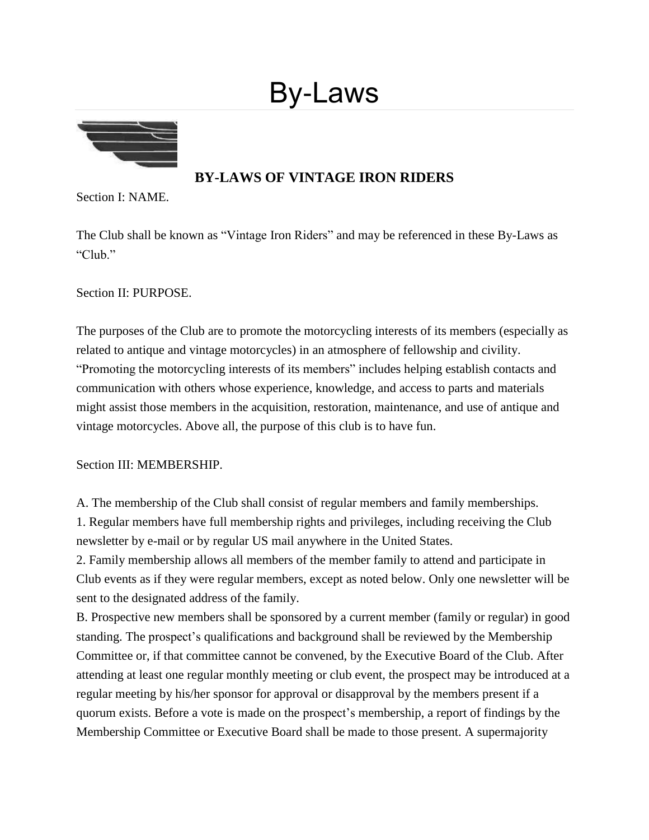# By-Laws



# **BY-LAWS OF VINTAGE IRON RIDERS**

Section I: NAME.

The Club shall be known as "Vintage Iron Riders" and may be referenced in these By-Laws as "Club."

Section II: PURPOSE.

The purposes of the Club are to promote the motorcycling interests of its members (especially as related to antique and vintage motorcycles) in an atmosphere of fellowship and civility. "Promoting the motorcycling interests of its members" includes helping establish contacts and communication with others whose experience, knowledge, and access to parts and materials might assist those members in the acquisition, restoration, maintenance, and use of antique and vintage motorcycles. Above all, the purpose of this club is to have fun.

Section III: MEMBERSHIP.

A. The membership of the Club shall consist of regular members and family memberships. 1. Regular members have full membership rights and privileges, including receiving the Club newsletter by e-mail or by regular US mail anywhere in the United States.

2. Family membership allows all members of the member family to attend and participate in Club events as if they were regular members, except as noted below. Only one newsletter will be sent to the designated address of the family.

B. Prospective new members shall be sponsored by a current member (family or regular) in good standing. The prospect's qualifications and background shall be reviewed by the Membership Committee or, if that committee cannot be convened, by the Executive Board of the Club. After attending at least one regular monthly meeting or club event, the prospect may be introduced at a regular meeting by his/her sponsor for approval or disapproval by the members present if a quorum exists. Before a vote is made on the prospect's membership, a report of findings by the Membership Committee or Executive Board shall be made to those present. A supermajority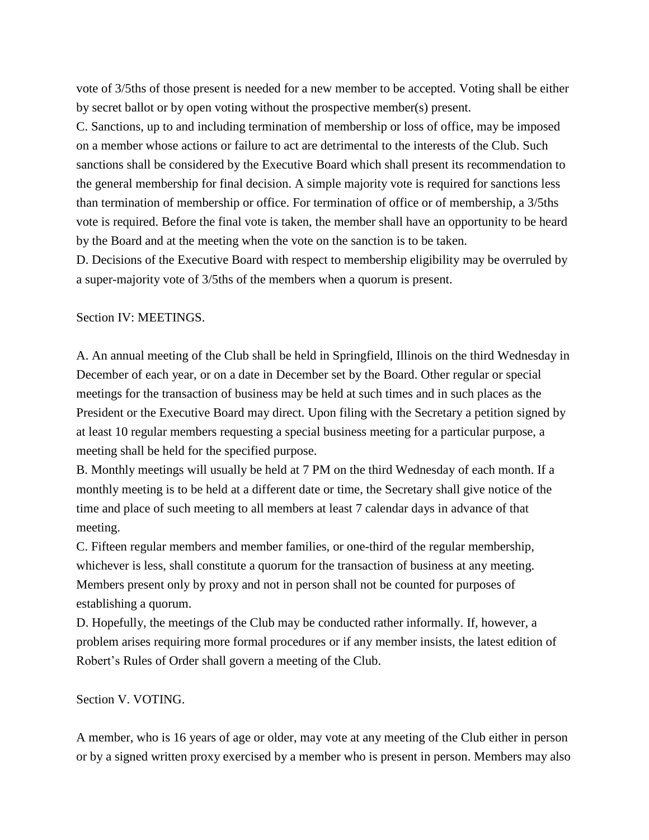vote of 3/5ths of those present is needed for a new member to be accepted. Voting shall be either by secret ballot or by open voting without the prospective member(s) present.

C. Sanctions, up to and including termination of membership or loss of office, may be imposed on a member whose actions or failure to act are detrimental to the interests of the Club. Such sanctions shall be considered by the Executive Board which shall present its recommendation to the general membership for final decision. A simple majority vote is required for sanctions less than termination of membership or office. For termination of office or of membership, a 3/5ths vote is required. Before the final vote is taken, the member shall have an opportunity to be heard by the Board and at the meeting when the vote on the sanction is to be taken.

D. Decisions of the Executive Board with respect to membership eligibility may be overruled by a super-majority vote of 3/5ths of the members when a quorum is present.

Section IV: MEETINGS.

A. An annual meeting of the Club shall be held in Springfield, Illinois on the third Wednesday in December of each year, or on a date in December set by the Board. Other regular or special meetings for the transaction of business may be held at such times and in such places as the President or the Executive Board may direct. Upon filing with the Secretary a petition signed by at least 10 regular members requesting a special business meeting for a particular purpose, a meeting shall be held for the specified purpose.

B. Monthly meetings will usually be held at 7 PM on the third Wednesday of each month. If a monthly meeting is to be held at a different date or time, the Secretary shall give notice of the time and place of such meeting to all members at least 7 calendar days in advance of that meeting.

C. Fifteen regular members and member families, or one-third of the regular membership, whichever is less, shall constitute a quorum for the transaction of business at any meeting. Members present only by proxy and not in person shall not be counted for purposes of establishing a quorum.

D. Hopefully, the meetings of the Club may be conducted rather informally. If, however, a problem arises requiring more formal procedures or if any member insists, the latest edition of Robert's Rules of Order shall govern a meeting of the Club.

Section V. VOTING.

A member, who is 16 years of age or older, may vote at any meeting of the Club either in person or by a signed written proxy exercised by a member who is present in person. Members may also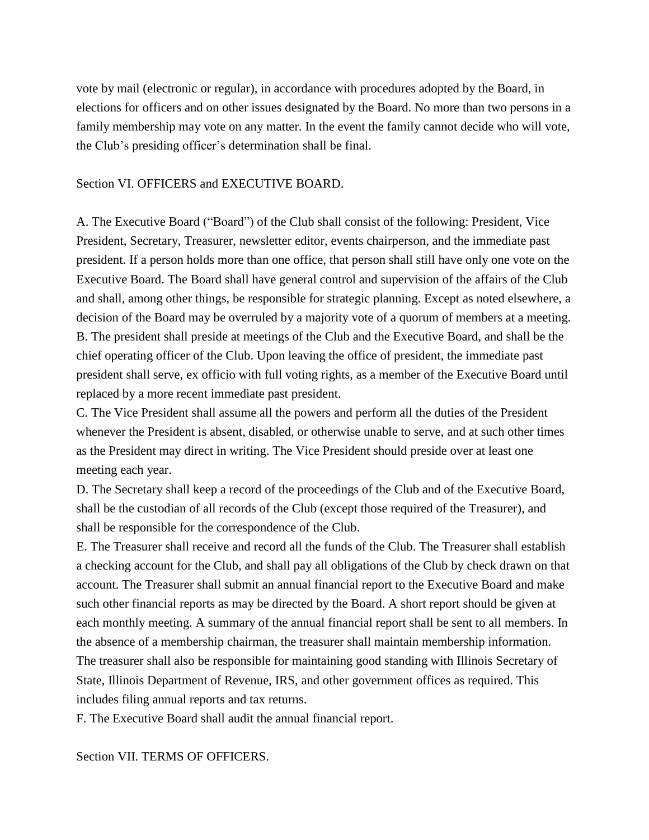vote by mail (electronic or regular), in accordance with procedures adopted by the Board, in elections for officers and on other issues designated by the Board. No more than two persons in a family membership may vote on any matter. In the event the family cannot decide who will vote, the Club's presiding officer's determination shall be final.

#### Section VI. OFFICERS and EXECUTIVE BOARD.

A. The Executive Board ("Board") of the Club shall consist of the following: President, Vice President, Secretary, Treasurer, newsletter editor, events chairperson, and the immediate past president. If a person holds more than one office, that person shall still have only one vote on the Executive Board. The Board shall have general control and supervision of the affairs of the Club and shall, among other things, be responsible for strategic planning. Except as noted elsewhere, a decision of the Board may be overruled by a majority vote of a quorum of members at a meeting. B. The president shall preside at meetings of the Club and the Executive Board, and shall be the chief operating officer of the Club. Upon leaving the office of president, the immediate past president shall serve, ex officio with full voting rights, as a member of the Executive Board until replaced by a more recent immediate past president.

C. The Vice President shall assume all the powers and perform all the duties of the President whenever the President is absent, disabled, or otherwise unable to serve, and at such other times as the President may direct in writing. The Vice President should preside over at least one meeting each year.

D. The Secretary shall keep a record of the proceedings of the Club and of the Executive Board, shall be the custodian of all records of the Club (except those required of the Treasurer), and shall be responsible for the correspondence of the Club.

E. The Treasurer shall receive and record all the funds of the Club. The Treasurer shall establish a checking account for the Club, and shall pay all obligations of the Club by check drawn on that account. The Treasurer shall submit an annual financial report to the Executive Board and make such other financial reports as may be directed by the Board. A short report should be given at each monthly meeting. A summary of the annual financial report shall be sent to all members. In the absence of a membership chairman, the treasurer shall maintain membership information. The treasurer shall also be responsible for maintaining good standing with Illinois Secretary of State, Illinois Department of Revenue, IRS, and other government offices as required. This includes filing annual reports and tax returns.

F. The Executive Board shall audit the annual financial report.

Section VII. TERMS OF OFFICERS.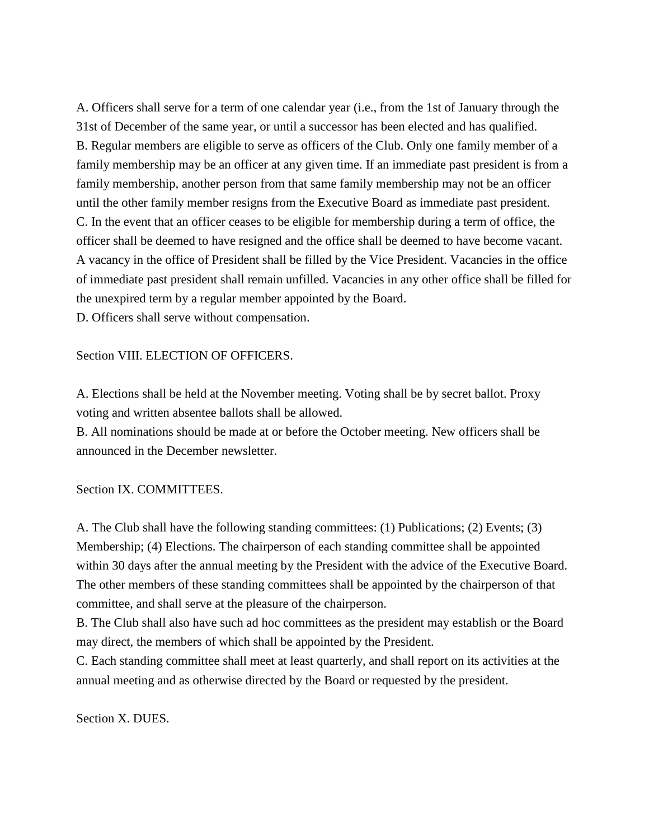A. Officers shall serve for a term of one calendar year (i.e., from the 1st of January through the 31st of December of the same year, or until a successor has been elected and has qualified. B. Regular members are eligible to serve as officers of the Club. Only one family member of a family membership may be an officer at any given time. If an immediate past president is from a family membership, another person from that same family membership may not be an officer until the other family member resigns from the Executive Board as immediate past president. C. In the event that an officer ceases to be eligible for membership during a term of office, the officer shall be deemed to have resigned and the office shall be deemed to have become vacant. A vacancy in the office of President shall be filled by the Vice President. Vacancies in the office of immediate past president shall remain unfilled. Vacancies in any other office shall be filled for the unexpired term by a regular member appointed by the Board. D. Officers shall serve without compensation.

#### Section VIII. ELECTION OF OFFICERS.

A. Elections shall be held at the November meeting. Voting shall be by secret ballot. Proxy voting and written absentee ballots shall be allowed.

B. All nominations should be made at or before the October meeting. New officers shall be announced in the December newsletter.

Section IX. COMMITTEES.

A. The Club shall have the following standing committees: (1) Publications; (2) Events; (3) Membership; (4) Elections. The chairperson of each standing committee shall be appointed within 30 days after the annual meeting by the President with the advice of the Executive Board. The other members of these standing committees shall be appointed by the chairperson of that committee, and shall serve at the pleasure of the chairperson.

B. The Club shall also have such ad hoc committees as the president may establish or the Board may direct, the members of which shall be appointed by the President.

C. Each standing committee shall meet at least quarterly, and shall report on its activities at the annual meeting and as otherwise directed by the Board or requested by the president.

Section X. DUES.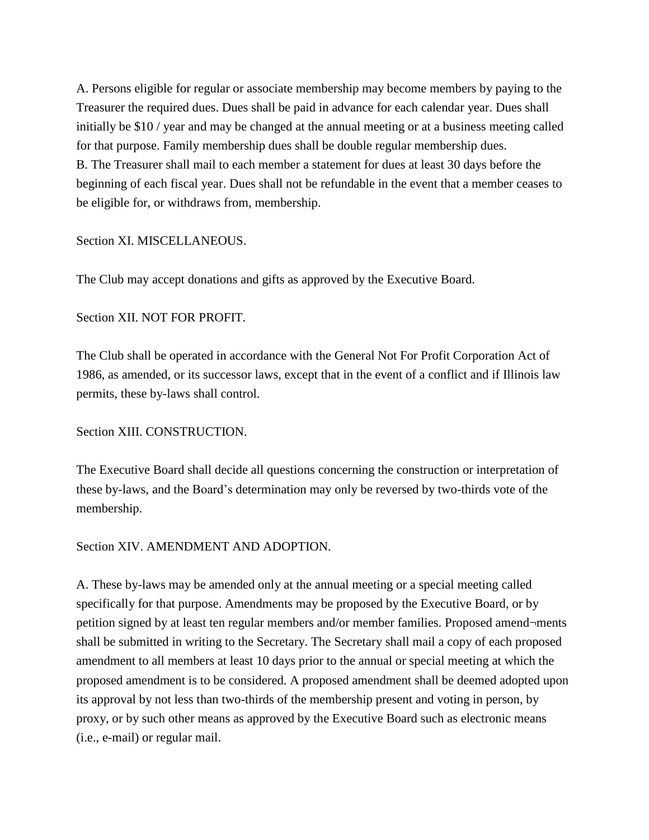A. Persons eligible for regular or associate membership may become members by paying to the Treasurer the required dues. Dues shall be paid in advance for each calendar year. Dues shall initially be \$10 / year and may be changed at the annual meeting or at a business meeting called for that purpose. Family membership dues shall be double regular membership dues. B. The Treasurer shall mail to each member a statement for dues at least 30 days before the beginning of each fiscal year. Dues shall not be refundable in the event that a member ceases to be eligible for, or withdraws from, membership.

#### Section XI. MISCELLANEOUS.

The Club may accept donations and gifts as approved by the Executive Board.

### Section XII. NOT FOR PROFIT.

The Club shall be operated in accordance with the General Not For Profit Corporation Act of 1986, as amended, or its successor laws, except that in the event of a conflict and if Illinois law permits, these by-laws shall control.

## Section XIII. CONSTRUCTION.

The Executive Board shall decide all questions concerning the construction or interpretation of these by-laws, and the Board's determination may only be reversed by two-thirds vote of the membership.

#### Section XIV. AMENDMENT AND ADOPTION.

A. These by-laws may be amended only at the annual meeting or a special meeting called specifically for that purpose. Amendments may be proposed by the Executive Board, or by petition signed by at least ten regular members and/or member families. Proposed amend¬ments shall be submitted in writing to the Secretary. The Secretary shall mail a copy of each proposed amendment to all members at least 10 days prior to the annual or special meeting at which the proposed amendment is to be considered. A proposed amendment shall be deemed adopted upon its approval by not less than two-thirds of the membership present and voting in person, by proxy, or by such other means as approved by the Executive Board such as electronic means (i.e., e-mail) or regular mail.